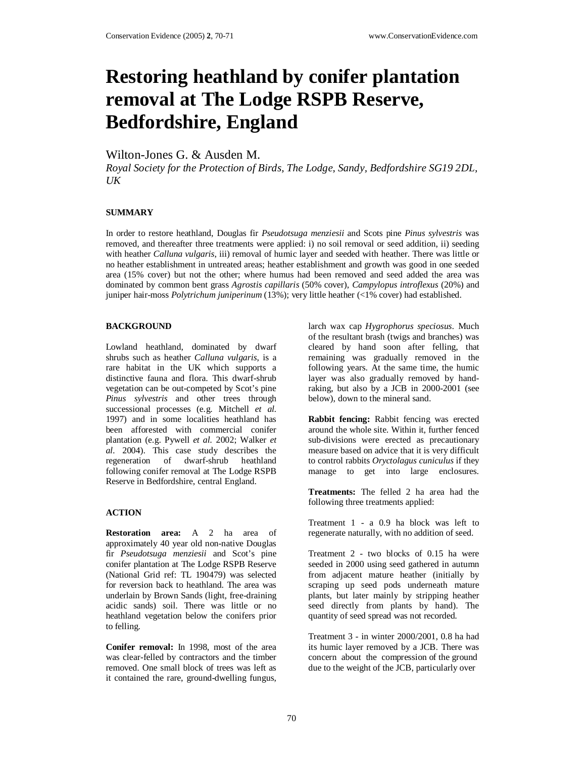# **Restoring heathland by conifer plantation removal at The Lodge RSPB Reserve, Bedfordshire, England**

Wilton-Jones G. & Ausden M.

*Royal Society for the Protection of Birds, The Lodge, Sandy, Bedfordshire SG19 2DL,*   $U K$ 

## **SUMMARY**

In order to restore heathland, Douglas fir *Pseudotsuga menziesii* and Scots pine *Pinus sylvestris* was removed, and thereafter three treatments were applied: i) no soil removal or seed addition, ii) seeding with heather *Calluna vulgaris*, iii) removal of humic layer and seeded with heather. There was little or no heather establishment in untreated areas; heather establishment and growth was good in one seeded area (15% cover) but not the other; where humus had been removed and seed added the area was dominated by common bent grass *Agrostis capillaris* (50% cover), *Campylopus introflexus* (20%) and juniper hair-moss *Polytrichum juniperinum* (13%); very little heather (<1% cover) had established.

## **BACKGROUND**

Lowland heathland, dominated by dwarf shrubs such as heather *Calluna vulgaris*, is a rare habitat in the UK which supports a distinctive fauna and flora. This dwarf-shrub vegetation can be out-competed by Scot's pine *Pinus sylvestris* and other trees through successional processes (e.g. Mitchell *et al.* 1997) and in some localities heathland has been afforested with commercial conifer plantation (e.g. Pywell *et al.* 2002; Walker *et al.* 2004). This case study describes the regeneration of dwarf-shrub heathland following conifer removal at The Lodge RSPB Reserve in Bedfordshire, central England.

#### **ACTION**

**Restoration area:** A 2 ha area of approximately 40 year old non-native Douglas fir *Pseudotsuga menziesii* and Scot's pine conifer plantation at The Lodge RSPB Reserve (National Grid ref: TL 190479) was selected for reversion back to heathland. The area was underlain by Brown Sands (light, free-draining acidic sands) soil. There was little or no heathland vegetation below the conifers prior to felling.

**Conifer removal:** In 1998, most of the area was clear-felled by contractors and the timber removed. One small block of trees was left as it contained the rare, ground-dwelling fungus,

larch wax cap *Hygrophorus speciosus*. Much of the resultant brash (twigs and branches) was cleared by hand soon after felling, that remaining was gradually removed in the following years. At the same time, the humic layer was also gradually removed by handraking, but also by a JCB in 2000-2001 (see below), down to the mineral sand.

**Rabbit fencing:** Rabbit fencing was erected around the whole site. Within it, further fenced sub-divisions were erected as precautionary measure based on advice that it is very difficult to control rabbits *Oryctolagus cuniculus* if they manage to get into large enclosures.

**Treatments:** The felled 2 ha area had the following three treatments applied:

Treatment 1 - a 0.9 ha block was left to regenerate naturally, with no addition of seed.

Treatment 2 - two blocks of 0.15 ha were seeded in 2000 using seed gathered in autumn from adjacent mature heather (initially by scraping up seed pods underneath mature plants, but later mainly by stripping heather seed directly from plants by hand). The quantity of seed spread was not recorded.

Treatment 3 - in winter 2000/2001, 0.8 ha had its humic layer removed by a JCB. There was concern about the compression of the ground due to the weight of the JCB, particularly over